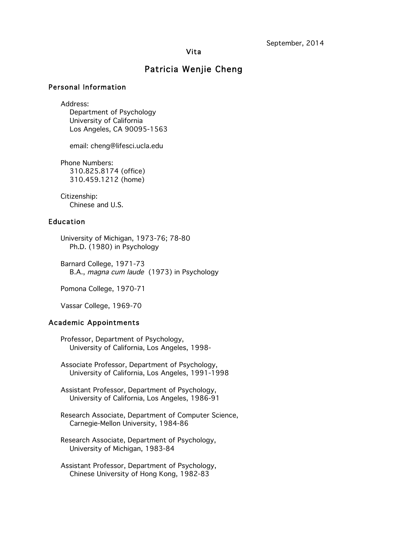## Vita

# Patricia Wenjie Cheng

## Personal Information

Address:

Department of Psychology University of California Los Angeles, CA 90095-1563

email: cheng@lifesci.ucla.edu

Phone Numbers: 310.825.8174 (office) 310.459.1212 (home)

Citizenship: Chinese and U.S.

## Education

University of Michigan, 1973-76; 78-80 Ph.D. (1980) in Psychology

Barnard College, 1971-73 B.A., magna cum laude (1973) in Psychology

Pomona College, 1970-71

Vassar College, 1969-70

# Academic Appointments

 Professor, Department of Psychology, University of California, Los Angeles, 1998-

 Associate Professor, Department of Psychology, University of California, Los Angeles, 1991-1998

Assistant Professor, Department of Psychology, University of California, Los Angeles, 1986-91

Research Associate, Department of Computer Science, Carnegie-Mellon University, 1984-86

Research Associate, Department of Psychology, University of Michigan, 1983-84

Assistant Professor, Department of Psychology, Chinese University of Hong Kong, 1982-83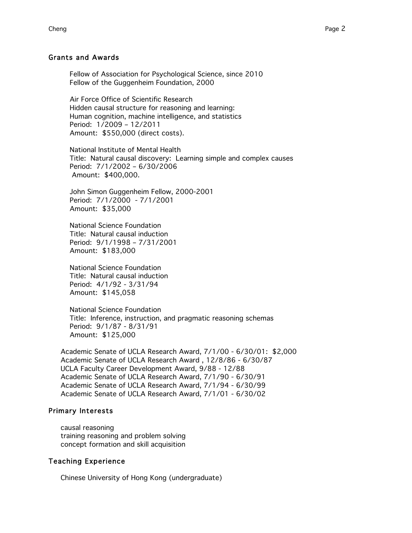#### Grants and Awards

 Fellow of Association for Psychological Science, since 2010 Fellow of the Guggenheim Foundation, 2000

Air Force Office of Scientific Research Hidden causal structure for reasoning and learning: Human cognition, machine intelligence, and statistics Period: 1/2009 – 12/2011 Amount: \$550,000 (direct costs).

National Institute of Mental Health Title: Natural causal discovery: Learning simple and complex causes Period: 7/1/2002 – 6/30/2006 Amount: \$400,000.

John Simon Guggenheim Fellow, 2000-2001 Period: 7/1/2000 - 7/1/2001 Amount: \$35,000

 National Science Foundation Title: Natural causal induction Period: 9/1/1998 – 7/31/2001 Amount: \$183,000

National Science Foundation Title: Natural causal induction Period: 4/1/92 - 3/31/94 Amount: \$145,058

National Science Foundation Title: Inference, instruction, and pragmatic reasoning schemas Period: 9/1/87 - 8/31/91 Amount: \$125,000

Academic Senate of UCLA Research Award, 7/1/00 - 6/30/01: \$2,000 Academic Senate of UCLA Research Award , 12/8/86 - 6/30/87 UCLA Faculty Career Development Award, 9/88 - 12/88 Academic Senate of UCLA Research Award, 7/1/90 - 6/30/91 Academic Senate of UCLA Research Award, 7/1/94 - 6/30/99 Academic Senate of UCLA Research Award, 7/1/01 - 6/30/02

#### Primary Interests

causal reasoning training reasoning and problem solving concept formation and skill acquisition

## Teaching Experience

Chinese University of Hong Kong (undergraduate)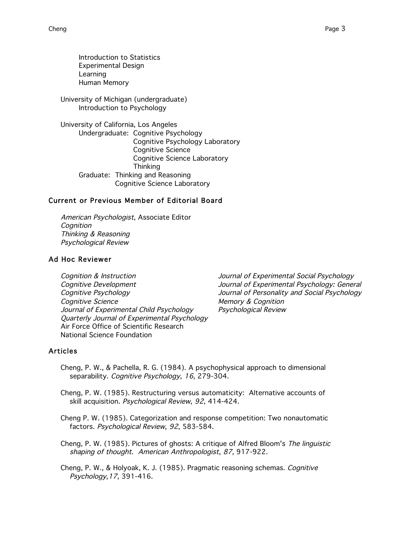Introduction to Statistics Experimental Design Learning Human Memory

University of Michigan (undergraduate) Introduction to Psychology

University of California, Los Angeles Undergraduate: Cognitive Psychology Cognitive Psychology Laboratory Cognitive Science Cognitive Science Laboratory **Thinking** Graduate: Thinking and Reasoning Cognitive Science Laboratory

# Current or Previous Member of Editorial Board

American Psychologist, Associate Editor **Cognition** Thinking & Reasoning Psychological Review

# Ad Hoc Reviewer

Cognition & Instruction Journal of Experimental Social Psychology Cognitive Development Journal of Experimental Psychology: General Cognitive Psychology Journal of Personality and Social Psychology Cognitive Science Cognition Cognition Journal of Experimental Child Psychology Psychological Review Quarterly Journal of Experimental Psychology Air Force Office of Scientific Research National Science Foundation

## Articles

- Cheng, P. W., & Pachella, R. G. (1984). A psychophysical approach to dimensional separability. Cognitive Psychology, 16, 279-304.
- Cheng, P. W. (1985). Restructuring versus automaticity: Alternative accounts of skill acquisition. Psychological Review, 92, 414-424.

Cheng P. W. (1985). Categorization and response competition: Two nonautomatic factors. Psychological Review, 92, 583-584.

Cheng, P. W. (1985). Pictures of ghosts: A critique of Alfred Bloom's The linguistic shaping of thought. American Anthropologist, 87, 917-922.

Cheng, P. W., & Holyoak, K. J. (1985). Pragmatic reasoning schemas. Cognitive Psychology,17, 391-416.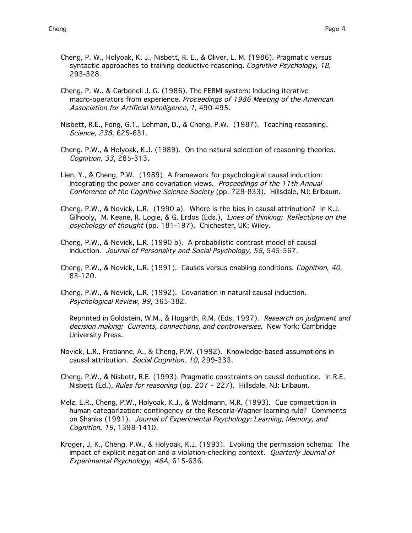- Cheng, P. W., Holyoak, K. J., Nisbett, R. E., & Oliver, L. M. (1986). Pragmatic versus syntactic approaches to training deductive reasoning. Cognitive Psychology, 18, 293-328.
- Cheng, P. W., & Carbonell J. G. (1986). The FERMI system: Inducing iterative macro-operators from experience. Proceedings of 1986 Meeting of the American Association for Artificial Intelligence, 1, 490-495.
- Nisbett, R.E., Fong, G.T., Lehman, D., & Cheng, P.W. (1987). Teaching reasoning. Science, 238, 625-631.
- Cheng, P.W., & Holyoak, K.J. (1989). On the natural selection of reasoning theories. Cognition, 33, 285-313.
- Lien, Y., & Cheng, P.W. (1989) A framework for psychological causal induction: Integrating the power and covariation views. Proceedings of the 11th Annual Conference of the Cognitive Science Society (pp. 729-833). Hillsdale, NJ: Erlbaum.
- Cheng, P.W., & Novick, L.R. (1990 a). Where is the bias in causal attribution? In K.J. Gilhooly, M. Keane, R. Logie, & G. Erdos (Eds.), Lines of thinking: Reflections on the psychology of thought (pp. 181-197). Chichester, UK: Wiley.
- Cheng, P.W., & Novick, L.R. (1990 b). A probabilistic contrast model of causal induction. Journal of Personality and Social Psychology, 58, 545-567.
- Cheng, P.W., & Novick, L.R. (1991). Causes versus enabling conditions. Cognition, 40, 83-120.
- Cheng, P.W., & Novick, L.R. (1992). Covariation in natural causal induction. Psychological Review, 99, 365-382.
	- Reprinted in Goldstein, W.M., & Hogarth, R.M. (Eds, 1997). Research on judgment and decision making: Currents, connections, and controversies. New York: Cambridge University Press.
- Novick, L.R., Fratianne, A., & Cheng, P.W. (1992). Knowledge-based assumptions in causal attribution. Social Cognition, 10, 299-333.
- Cheng, P.W., & Nisbett, R.E. (1993). Pragmatic constraints on causal deduction. In R.E. Nisbett (Ed.), Rules for reasoning (pp. 207 - 227). Hillsdale, NJ: Erlbaum.
- Melz, E.R., Cheng, P.W., Holyoak, K.J., & Waldmann, M.R. (1993). Cue competition in human categorization: contingency or the Rescorla-Wagner learning rule? Comments on Shanks (1991). Journal of Experimental Psychology: Learning, Memory, and Cognition, 19, 1398-1410.
- Kroger, J. K., Cheng, P.W., & Holyoak, K.J. (1993). Evoking the permission schema: The impact of explicit negation and a violation-checking context. Quarterly Journal of Experimental Psychology, 46A, 615-636.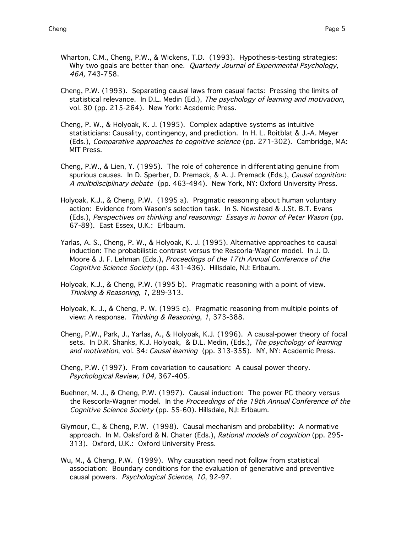- Wharton, C.M., Cheng, P.W., & Wickens, T.D. (1993). Hypothesis-testing strategies: Why two goals are better than one. Quarterly Journal of Experimental Psychology, 46A, 743-758.
- Cheng, P.W. (1993). Separating causal laws from casual facts: Pressing the limits of statistical relevance. In D.L. Medin (Ed.), The psychology of learning and motivation, vol. 30 (pp. 215-264). New York: Academic Press.
- Cheng, P. W., & Holyoak, K. J. (1995). Complex adaptive systems as intuitive statisticians: Causality, contingency, and prediction. In H. L. Roitblat & J.-A. Meyer (Eds.), Comparative approaches to cognitive science (pp. 271-302). Cambridge, MA: MIT Press.
- Cheng, P.W., & Lien, Y. (1995). The role of coherence in differentiating genuine from spurious causes. In D. Sperber, D. Premack, & A. J. Premack (Eds.), *Causal cognition:* A multidisciplinary debate (pp. 463-494). New York, NY: Oxford University Press.
- Holyoak, K.J., & Cheng, P.W. (1995 a). Pragmatic reasoning about human voluntary action: Evidence from Wason's selection task. In S. Newstead & J.St. B.T. Evans (Eds.), Perspectives on thinking and reasoning: Essays in honor of Peter Wason (pp. 67-89). East Essex, U.K.: Erlbaum.
- Yarlas, A. S., Cheng, P. W., & Holyoak, K. J. (1995). Alternative approaches to causal induction: The probabilistic contrast versus the Rescorla-Wagner model. In J. D. Moore & J. F. Lehman (Eds.), Proceedings of the 17th Annual Conference of the Cognitive Science Society (pp. 431-436). Hillsdale, NJ: Erlbaum.
- Holyoak, K.J., & Cheng, P.W. (1995 b). Pragmatic reasoning with a point of view. Thinking & Reasoning, 1, 289-313.
- Holyoak, K. J., & Cheng, P. W. (1995 c). Pragmatic reasoning from multiple points of view: A response. Thinking & Reasoning, 1, 373-388.
- Cheng, P.W., Park, J., Yarlas, A., & Holyoak, K.J. (1996). A causal-power theory of focal sets. In D.R. Shanks, K.J. Holyoak, & D.L. Medin, (Eds.), The psychology of learning and motivation, vol. 34: Causal learning (pp. 313-355). NY, NY: Academic Press.
- Cheng, P.W. (1997). From covariation to causation: A causal power theory. Psychological Review, 104, 367-405.
- Buehner, M. J., & Cheng, P.W. (1997). Causal induction: The power PC theory versus the Rescorla-Wagner model. In the Proceedings of the 19th Annual Conference of the Cognitive Science Society (pp. 55-60). Hillsdale, NJ: Erlbaum.
- Glymour, C., & Cheng, P.W. (1998). Causal mechanism and probability: A normative approach. In M. Oaksford & N. Chater (Eds.), Rational models of cognition (pp. 295- 313). Oxford, U.K.: Oxford University Press.
- Wu, M., & Cheng, P.W. (1999). Why causation need not follow from statistical association: Boundary conditions for the evaluation of generative and preventive causal powers. Psychological Science, 10, 92-97.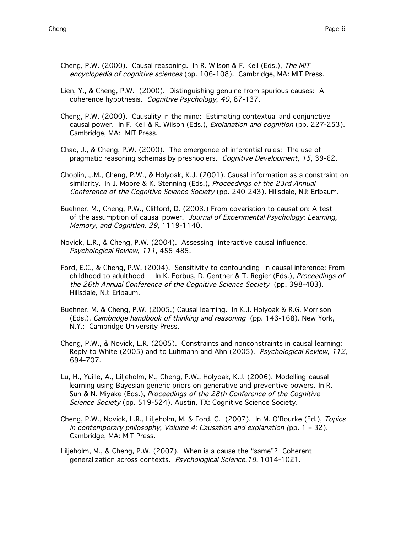- Cheng, P.W. (2000). Causal reasoning. In R. Wilson & F. Keil (Eds.), The MIT encyclopedia of cognitive sciences (pp. 106-108). Cambridge, MA: MIT Press.
- Lien, Y., & Cheng, P.W. (2000). Distinguishing genuine from spurious causes: A coherence hypothesis. Cognitive Psychology, 40, 87-137.
- Cheng, P.W. (2000). Causality in the mind: Estimating contextual and conjunctive causal power. In F. Keil & R. Wilson (Eds.), Explanation and cognition (pp. 227-253). Cambridge, MA: MIT Press.
- Chao, J., & Cheng, P.W. (2000). The emergence of inferential rules: The use of pragmatic reasoning schemas by preshoolers. Cognitive Development, 15, 39-62.
- Choplin, J.M., Cheng, P.W., & Holyoak, K.J. (2001). Causal information as a constraint on similarity. In J. Moore & K. Stenning (Eds.), Proceedings of the 23rd Annual Conference of the Cognitive Science Society (pp. 240-243). Hillsdale, NJ: Erlbaum.
- Buehner, M., Cheng, P.W., Clifford, D. (2003.) From covariation to causation: A test of the assumption of causal power. Journal of Experimental Psychology: Learning, Memory, and Cognition, 29, 1119-1140.
- Novick, L.R., & Cheng, P.W. (2004). Assessing interactive causal influence. Psychological Review, 111, 455-485.
- Ford, E.C., & Cheng, P.W. (2004). Sensitivity to confounding in causal inference: From childhood to adulthood. In K. Forbus, D. Gentner & T. Regier (Eds.), Proceedings of the 26th Annual Conference of the Cognitive Science Society (pp. 398-403). Hillsdale, NJ: Erlbaum.
- Buehner, M. & Cheng, P.W. (2005.) Causal learning. In K.J. Holyoak & R.G. Morrison (Eds.), Cambridge handbook of thinking and reasoning (pp. 143-168). New York, N.Y.: Cambridge University Press.
- Cheng, P.W., & Novick, L.R. (2005). Constraints and nonconstraints in causal learning: Reply to White (2005) and to Luhmann and Ahn (2005). Psychological Review, 112, 694-707.
- Lu, H., Yuille, A., Liljeholm, M., Cheng, P.W., Holyoak, K.J. (2006). Modelling causal learning using Bayesian generic priors on generative and preventive powers. In R. Sun & N. Miyake (Eds.), Proceedings of the 28th Conference of the Cognitive Science Society (pp. 519-524). Austin, TX: Cognitive Science Society.
- Cheng, P.W., Novick, L.R., Liljeholm, M. & Ford, C. (2007). In M. O'Rourke (Ed.), Topics in contemporary philosophy, Volume 4: Causation and explanation (pp. 1 – 32). Cambridge, MA: MIT Press.
- Liljeholm, M., & Cheng, P.W. (2007). When is a cause the "same"? Coherent generalization across contexts. Psychological Science, 18, 1014-1021.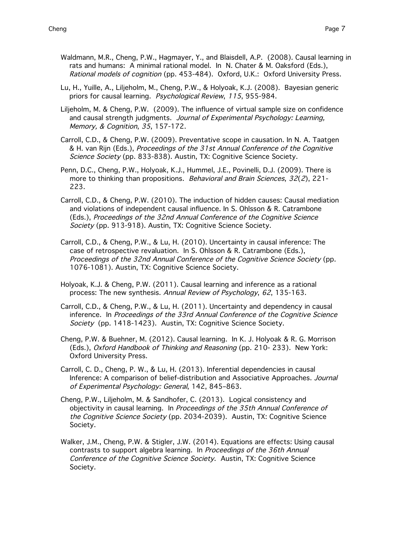- Waldmann, M.R., Cheng, P.W., Hagmayer, Y., and Blaisdell, A.P. (2008). Causal learning in rats and humans: A minimal rational model. In N. Chater & M. Oaksford (Eds.), Rational models of cognition (pp. 453-484). Oxford, U.K.: Oxford University Press.
- Lu, H., Yuille, A., Liljeholm, M., Cheng, P.W., & Holyoak, K.J. (2008). Bayesian generic priors for causal learning. Psychological Review, 115, 955-984.
- Liljeholm, M. & Cheng, P.W. (2009). The influence of virtual sample size on confidence and causal strength judgments. Journal of Experimental Psychology: Learning, Memory, & Cognition, 35, 157-172.
- Carroll, C.D., & Cheng, P.W. (2009). Preventative scope in causation. In N. A. Taatgen & H. van Rijn (Eds.), Proceedings of the 31st Annual Conference of the Cognitive Science Society (pp. 833-838). Austin, TX: Cognitive Science Society.
- Penn, D.C., Cheng, P.W., Holyoak, K.J., Hummel, J.E., Povinelli, D.J. (2009). There is more to thinking than propositions. Behavioral and Brain Sciences, 32(2), 221-223.
- Carroll, C.D., & Cheng, P.W. (2010). The induction of hidden causes: Causal mediation and violations of independent causal influence. In S. Ohlsson & R. Catrambone (Eds.), Proceedings of the 32nd Annual Conference of the Cognitive Science Society (pp. 913-918). Austin, TX: Cognitive Science Society.
- Carroll, C.D., & Cheng, P.W., & Lu, H. (2010). Uncertainty in causal inference: The case of retrospective revaluation. In S. Ohlsson & R. Catrambone (Eds.), Proceedings of the 32nd Annual Conference of the Cognitive Science Society (pp. 1076-1081). Austin, TX: Cognitive Science Society.
- Holyoak, K.J. & Cheng, P.W. (2011). Causal learning and inference as a rational process: The new synthesis. Annual Review of Psychology, 62, 135-163.
- Carroll, C.D., & Cheng, P.W., & Lu, H. (2011). Uncertainty and dependency in causal inference. In Proceedings of the 33rd Annual Conference of the Cognitive Science Society (pp. 1418-1423). Austin, TX: Cognitive Science Society.
- Cheng, P.W. & Buehner, M. (2012). Causal learning. In K. J. Holyoak & R. G. Morrison (Eds.), Oxford Handbook of Thinking and Reasoning (pp. 210- 233). New York: Oxford University Press.
- Carroll, C. D., Cheng, P. W., & Lu, H. (2013). Inferential dependencies in causal Inference: A comparison of belief-distribution and Associative Approaches. Journal of Experimental Psychology: General, 142, 845–863.
- Cheng, P.W., Liljeholm, M. & Sandhofer, C. (2013). Logical consistency and objectivity in causal learning. In Proceedings of the 35th Annual Conference of the Cognitive Science Society (pp. 2034-2039). Austin, TX: Cognitive Science Society.
- Walker, J.M., Cheng, P.W. & Stigler, J.W. (2014). Equations are effects: Using causal contrasts to support algebra learning. In Proceedings of the 36th Annual Conference of the Cognitive Science Society. Austin, TX: Cognitive Science Society.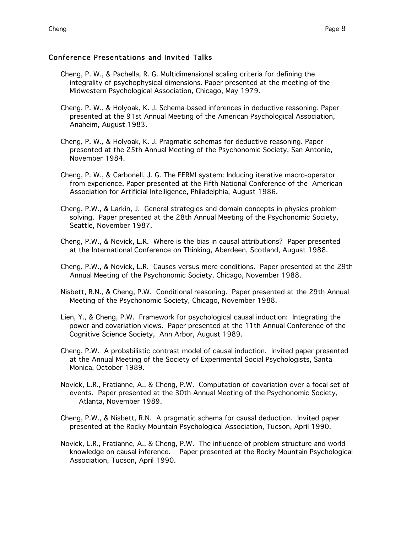# Conference Presentations and Invited Talks

- Cheng, P. W., & Pachella, R. G. Multidimensional scaling criteria for defining the integrality of psychophysical dimensions. Paper presented at the meeting of the Midwestern Psychological Association, Chicago, May 1979.
- Cheng, P. W., & Holyoak, K. J. Schema-based inferences in deductive reasoning. Paper presented at the 91st Annual Meeting of the American Psychological Association, Anaheim, August 1983.
- Cheng, P. W., & Holyoak, K. J. Pragmatic schemas for deductive reasoning. Paper presented at the 25th Annual Meeting of the Psychonomic Society, San Antonio, November 1984.
- Cheng, P. W., & Carbonell, J. G. The FERMI system: Inducing iterative macro-operator from experience. Paper presented at the Fifth National Conference of the American Association for Artificial Intelligence, Philadelphia, August 1986.
- Cheng, P.W., & Larkin, J. General strategies and domain concepts in physics problemsolving. Paper presented at the 28th Annual Meeting of the Psychonomic Society, Seattle, November 1987.
- Cheng, P.W., & Novick, L.R. Where is the bias in causal attributions? Paper presented at the International Conference on Thinking, Aberdeen, Scotland, August 1988.
- Cheng, P.W., & Novick, L.R. Causes versus mere conditions. Paper presented at the 29th Annual Meeting of the Psychonomic Society, Chicago, November 1988.
- Nisbett, R.N., & Cheng, P.W. Conditional reasoning. Paper presented at the 29th Annual Meeting of the Psychonomic Society, Chicago, November 1988.
- Lien, Y., & Cheng, P.W. Framework for psychological causal induction: Integrating the power and covariation views. Paper presented at the 11th Annual Conference of the Cognitive Science Society, Ann Arbor, August 1989.
- Cheng, P.W. A probabilistic contrast model of causal induction. Invited paper presented at the Annual Meeting of the Society of Experimental Social Psychologists, Santa Monica, October 1989.
- Novick, L.R., Fratianne, A., & Cheng, P.W. Computation of covariation over a focal set of events. Paper presented at the 30th Annual Meeting of the Psychonomic Society, Atlanta, November 1989.
- Cheng, P.W., & Nisbett, R.N. A pragmatic schema for causal deduction. Invited paper presented at the Rocky Mountain Psychological Association, Tucson, April 1990.
- Novick, L.R., Fratianne, A., & Cheng, P.W. The influence of problem structure and world knowledge on causal inference. Paper presented at the Rocky Mountain Psychological Association, Tucson, April 1990.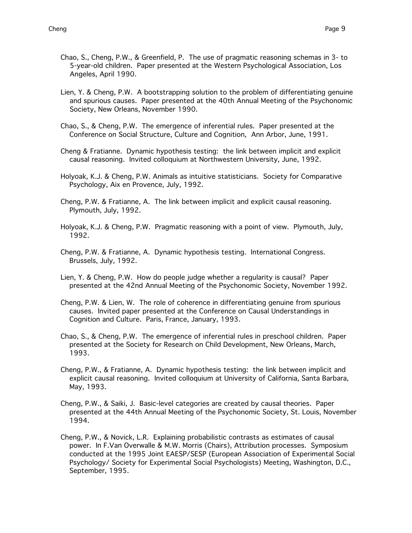- Chao, S., Cheng, P.W., & Greenfield, P. The use of pragmatic reasoning schemas in 3- to 5-year-old children. Paper presented at the Western Psychological Association, Los Angeles, April 1990.
- Lien, Y. & Cheng, P.W. A bootstrapping solution to the problem of differentiating genuine and spurious causes. Paper presented at the 40th Annual Meeting of the Psychonomic Society, New Orleans, November 1990.
- Chao, S., & Cheng, P.W. The emergence of inferential rules. Paper presented at the Conference on Social Structure, Culture and Cognition, Ann Arbor, June, 1991.
- Cheng & Fratianne. Dynamic hypothesis testing: the link between implicit and explicit causal reasoning. Invited colloquium at Northwestern University, June, 1992.
- Holyoak, K.J. & Cheng, P.W. Animals as intuitive statisticians. Society for Comparative Psychology, Aix en Provence, July, 1992.
- Cheng, P.W. & Fratianne, A. The link between implicit and explicit causal reasoning. Plymouth, July, 1992.
- Holyoak, K.J. & Cheng, P.W. Pragmatic reasoning with a point of view. Plymouth, July, 1992.
- Cheng, P.W. & Fratianne, A. Dynamic hypothesis testing. International Congress. Brussels, July, 1992.
- Lien, Y. & Cheng, P.W. How do people judge whether a regularity is causal? Paper presented at the 42nd Annual Meeting of the Psychonomic Society, November 1992.
- Cheng, P.W. & Lien, W. The role of coherence in differentiating genuine from spurious causes. Invited paper presented at the Conference on Causal Understandings in Cognition and Culture. Paris, France, January, 1993.
- Chao, S., & Cheng, P.W. The emergence of inferential rules in preschool children. Paper presented at the Society for Research on Child Development, New Orleans, March, 1993.
- Cheng, P.W., & Fratianne, A. Dynamic hypothesis testing: the link between implicit and explicit causal reasoning. Invited colloquium at University of California, Santa Barbara, May, 1993.
- Cheng, P.W., & Saiki, J. Basic-level categories are created by causal theories. Paper presented at the 44th Annual Meeting of the Psychonomic Society, St. Louis, November 1994.
- Cheng, P.W., & Novick, L.R. Explaining probabilistic contrasts as estimates of causal power. In F.Van Overwalle & M.W. Morris (Chairs), Attribution processes. Symposium conducted at the 1995 Joint EAESP/SESP (European Association of Experimental Social Psychology/ Society for Experimental Social Psychologists) Meeting, Washington, D.C., September, 1995.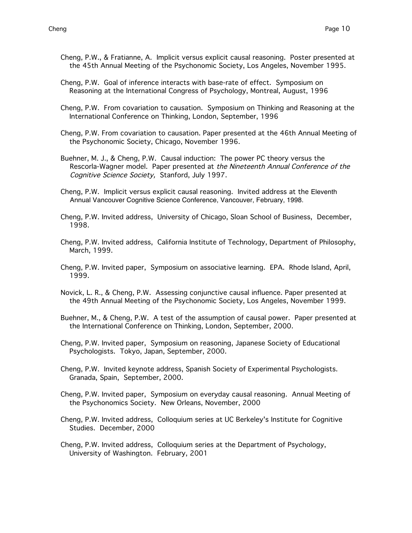- Cheng, P.W., & Fratianne, A. Implicit versus explicit causal reasoning. Poster presented at the 45th Annual Meeting of the Psychonomic Society, Los Angeles, November 1995.
- Cheng, P.W. Goal of inference interacts with base-rate of effect. Symposium on Reasoning at the International Congress of Psychology, Montreal, August, 1996
- Cheng, P.W. From covariation to causation. Symposium on Thinking and Reasoning at the International Conference on Thinking, London, September, 1996
- Cheng, P.W. From covariation to causation. Paper presented at the 46th Annual Meeting of the Psychonomic Society, Chicago, November 1996.
- Buehner, M. J., & Cheng, P.W. Causal induction: The power PC theory versus the Rescorla-Wagner model. Paper presented at the Nineteenth Annual Conference of the Cognitive Science Society, Stanford, July 1997.
- Cheng, P.W. Implicit versus explicit causal reasoning. Invited address at the Eleventh Annual Vancouver Cognitive Science Conference, Vancouver, February, 1998.
- Cheng, P.W. Invited address, University of Chicago, Sloan School of Business, December, 1998.
- Cheng, P.W. Invited address, California Institute of Technology, Department of Philosophy, March, 1999.
- Cheng, P.W. Invited paper, Symposium on associative learning. EPA. Rhode Island, April, 1999.
- Novick, L. R., & Cheng, P.W. Assessing conjunctive causal influence. Paper presented at the 49th Annual Meeting of the Psychonomic Society, Los Angeles, November 1999.
- Buehner, M., & Cheng, P.W. A test of the assumption of causal power. Paper presented at the International Conference on Thinking, London, September, 2000.
- Cheng, P.W. Invited paper, Symposium on reasoning, Japanese Society of Educational Psychologists. Tokyo, Japan, September, 2000.
- Cheng, P.W. Invited keynote address, Spanish Society of Experimental Psychologists. Granada, Spain, September, 2000.
- Cheng, P.W. Invited paper, Symposium on everyday causal reasoning. Annual Meeting of the Psychonomics Society. New Orleans, November, 2000
- Cheng, P.W. Invited address, Colloquium series at UC Berkeley's Institute for Cognitive Studies. December, 2000
- Cheng, P.W. Invited address, Colloquium series at the Department of Psychology, University of Washington. February, 2001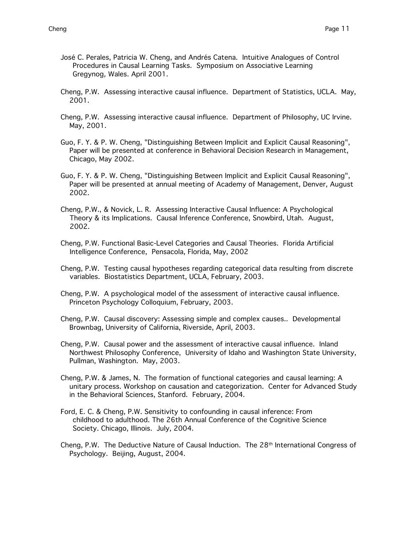- José C. Perales, Patricia W. Cheng, and Andrés Catena. Intuitive Analogues of Control Procedures in Causal Learning Tasks. Symposium on Associative Learning Gregynog, Wales. April 2001.
- Cheng, P.W. Assessing interactive causal influence. Department of Statistics, UCLA. May, 2001.
- Cheng, P.W. Assessing interactive causal influence. Department of Philosophy, UC Irvine. May, 2001.
- Guo, F. Y. & P. W. Cheng, "Distinguishing Between Implicit and Explicit Causal Reasoning", Paper will be presented at conference in Behavioral Decision Research in Management, Chicago, May 2002.
- Guo, F. Y. & P. W. Cheng, "Distinguishing Between Implicit and Explicit Causal Reasoning", Paper will be presented at annual meeting of Academy of Management, Denver, August 2002.
- Cheng, P.W., & Novick, L. R. Assessing Interactive Causal Influence: A Psychological Theory & its Implications. Causal Inference Conference, Snowbird, Utah. August, 2002.
- Cheng, P.W. Functional Basic-Level Categories and Causal Theories. Florida Artificial Intelligence Conference, Pensacola, Florida, May, 2002
- Cheng, P.W. Testing causal hypotheses regarding categorical data resulting from discrete variables. Biostatistics Department, UCLA, February, 2003.
- Cheng, P.W. A psychological model of the assessment of interactive causal influence. Princeton Psychology Colloquium, February, 2003.
- Cheng, P.W. Causal discovery: Assessing simple and complex causes.. Developmental Brownbag, University of California, Riverside, April, 2003.
- Cheng, P.W. Causal power and the assessment of interactive causal influence. Inland Northwest Philosophy Conference, University of Idaho and Washington State University, Pullman, Washington. May, 2003.
- Cheng, P.W. & James, N. The formation of functional categories and causal learning: A unitary process. Workshop on causation and categorization. Center for Advanced Study in the Behavioral Sciences, Stanford. February, 2004.
- Ford, E. C. & Cheng, P.W. Sensitivity to confounding in causal inference: From childhood to adulthood. The 26th Annual Conference of the Cognitive Science Society. Chicago, Illinois. July, 2004.
- Cheng, P.W. The Deductive Nature of Causal Induction. The 28<sup>th</sup> International Congress of Psychology. Beijing, August, 2004.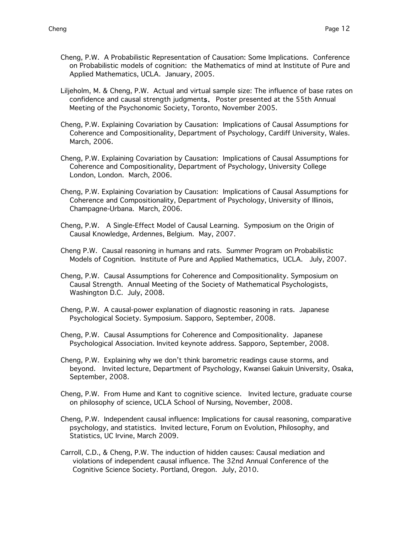- Cheng, P.W. A Probabilistic Representation of Causation: Some Implications. Conference on Probabilistic models of cognition: the Mathematics of mind at Institute of Pure and Applied Mathematics, UCLA. January, 2005.
- Liljeholm, M. & Cheng, P.W. Actual and virtual sample size: The influence of base rates on confidence and causal strength judgments. Poster presented at the 55th Annual Meeting of the Psychonomic Society, Toronto, November 2005.
- Cheng, P.W. Explaining Covariation by Causation: Implications of Causal Assumptions for Coherence and Compositionality, Department of Psychology, Cardiff University, Wales. March, 2006.
- Cheng, P.W. Explaining Covariation by Causation: Implications of Causal Assumptions for Coherence and Compositionality, Department of Psychology, University College London, London. March, 2006.
- Cheng, P.W. Explaining Covariation by Causation: Implications of Causal Assumptions for Coherence and Compositionality, Department of Psychology, University of Illinois, Champagne-Urbana. March, 2006.
- Cheng, P.W. A Single-Effect Model of Causal Learning. Symposium on the Origin of Causal Knowledge, Ardennes, Belgium. May, 2007.
- Cheng P.W. Causal reasoning in humans and rats. Summer Program on Probabilistic Models of Cognition. Institute of Pure and Applied Mathematics, UCLA. July, 2007.
- Cheng, P.W. Causal Assumptions for Coherence and Compositionality. Symposium on Causal Strength. Annual Meeting of the Society of Mathematical Psychologists, Washington D.C. July, 2008.
- Cheng, P.W. A causal-power explanation of diagnostic reasoning in rats. Japanese Psychological Society. Symposium. Sapporo, September, 2008.
- Cheng, P.W. Causal Assumptions for Coherence and Compositionality. Japanese Psychological Association. Invited keynote address. Sapporo, September, 2008.
- Cheng, P.W. Explaining why we don't think barometric readings cause storms, and beyond. Invited lecture, Department of Psychology, Kwansei Gakuin University, Osaka, September, 2008.
- Cheng, P.W. From Hume and Kant to cognitive science. Invited lecture, graduate course on philosophy of science, UCLA School of Nursing, November, 2008.
- Cheng, P.W. Independent causal influence: Implications for causal reasoning, comparative psychology, and statistics. Invited lecture, Forum on Evolution, Philosophy, and Statistics, UC Irvine, March 2009.
- Carroll, C.D., & Cheng, P.W. The induction of hidden causes: Causal mediation and violations of independent causal influence. The 32nd Annual Conference of the Cognitive Science Society. Portland, Oregon. July, 2010.